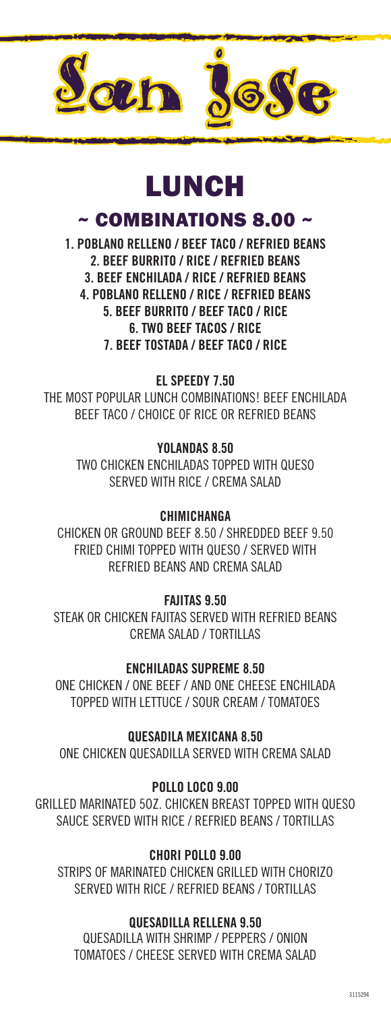

# LUNCH

~ COMBINATIONS 8.00 ~

1. POBLANO RELLENO / BEEF TACO / REFRIED BEANS 2. BEEF BURRITO / RICE / REFRIED BEANS 3. BEEF ENCHILADA / RICE / REFRIED BEANS 4. POBLANO RELLENO / RICE / REFRIED BEANS 5. BEEF BURRITO / BEEF TACO / RICE 6. TWO BEEF TACOS / RICE 7. BEEF TOSTADA / BEEF TACO / RICE

EL SPEEDY 7.50

THE MOST POPULAR LUNCH COMBINATIONS! BEEF ENCHILADA BEEF TACO / CHOICE OF RICE OR REFRIED BEANS

> YOLANDAS 8.50 TWO CHICKEN ENCHILADAS TOPPED WITH QUESO SERVED WITH RICE / CREMA SALAD

### **CHIMICHANGA**

CHICKEN OR GROUND BEEF 8.50 / SHREDDED BEEF 9.50 FRIED CHIMI TOPPED WITH QUESO / SERVED WITH REFRIED BEANS AND CREMA SALAD

FAJITAS 9.50

STEAK OR CHICKEN FAJITAS SERVED WITH REFRIED BEANS CREMA SALAD / TORTILLAS

ENCHILADAS SUPREME 8.50

ONE CHICKEN / ONE BEEF / AND ONE CHEESE ENCHILADA TOPPED WITH LETTUCE / SOUR CREAM / TOMATOES

QUESADILA MEXICANA 8.50

ONE CHICKEN QUESADILLA SERVED WITH CREMA SALAD

POLLO LOCO 9.00

GRILLED MARINATED 5OZ. CHICKEN BREAST TOPPED WITH QUESO SAUCE SERVED WITH RICE / REFRIED BEANS / TORTILLAS

#### CHORI POLLO 9.00

STRIPS OF MARINATED CHICKEN GRILLED WITH CHORIZO SERVED WITH RICE / REFRIED BEANS / TORTILLAS

#### QUESADILLA RELLENA 9.50

QUESADILLA WITH SHRIMP / PEPPERS / ONION TOMATOES / CHEESE SERVED WITH CREMA SALAD